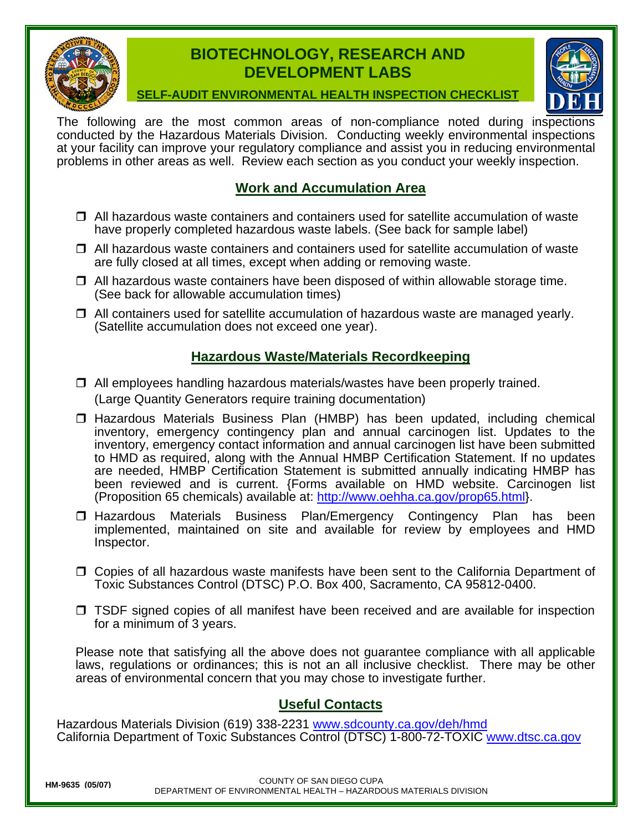

# **BIOTECHNOLOGY, RESEARCH AND DEVELOPMENT LABS**



**SELF-AUDIT ENVIRONMENTAL HEALTH INSPECTION CHECKLIST**

The following are the most common areas of non-compliance noted during inspections conducted by the Hazardous Materials Division. Conducting weekly environmental inspections at your facility can improve your regulatory compliance and assist you in reducing environmental problems in other areas as well. Review each section as you conduct your weekly inspection.

# **Work and Accumulation Area**

- All hazardous waste containers and containers used for satellite accumulation of waste have properly completed hazardous waste labels. (See back for sample label)
- $\Box$  All hazardous waste containers and containers used for satellite accumulation of waste are fully closed at all times, except when adding or removing waste.
- $\Box$  All hazardous waste containers have been disposed of within allowable storage time. (See back for allowable accumulation times)
- $\Box$  All containers used for satellite accumulation of hazardous waste are managed yearly. (Satellite accumulation does not exceed one year).

# **Hazardous Waste/Materials Recordkeeping**

- $\Box$  All employees handling hazardous materials/wastes have been properly trained. (Large Quantity Generators require training documentation)
- Hazardous Materials Business Plan (HMBP) has been updated, including chemical inventory, emergency contingency plan and annual carcinogen list. Updates to the inventory, emergency contact information and annual carcinogen list have been submitted to HMD as required, along with the Annual HMBP Certification Statement. If no updates are needed, HMBP Certification Statement is submitted annually indicating HMBP has been reviewed and is current. {Forms available on HMD website. Carcinogen list (Proposition 65 chemicals) available at: http://www.oehha.ca.gov/prop65.html}.
- Hazardous Materials Business Plan/Emergency Contingency Plan has been implemented, maintained on site and available for review by employees and HMD Inspector.
- $\Box$  Copies of all hazardous waste manifests have been sent to the California Department of Toxic Substances Control (DTSC) P.O. Box 400, Sacramento, CA 95812-0400.
- $\Box$  TSDF signed copies of all manifest have been received and are available for inspection for a minimum of 3 years.

Please note that satisfying all the above does not guarantee compliance with all applicable laws, regulations or ordinances; this is not an all inclusive checklist. There may be other areas of environmental concern that you may chose to investigate further.

# **Useful Contacts**

Hazardous Materials Division (619) 338-2231 www.sdcounty.ca.gov/deh/hmd California Department of Toxic Substances Control (DTSC) 1-800-72-TOXIC www.dtsc.ca.gov